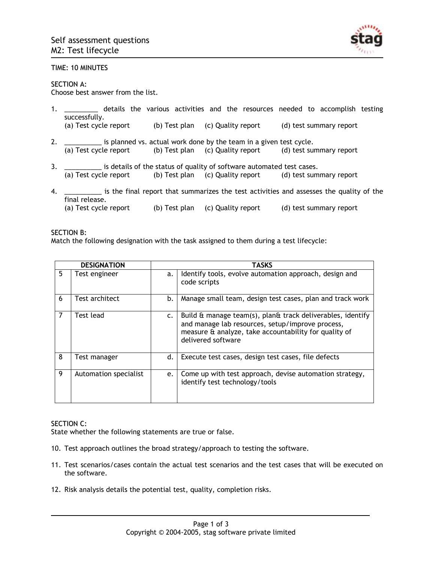

### TIME: 10 MINUTES

### SECTION A:

Choose best answer from the list.

1. \_\_\_\_\_\_\_\_\_ details the various activities and the resources needed to accomplish testing successfully.

(a) Test cycle report (b) Test plan (c) Quality report (d) test summary report

- 2. \_\_\_\_\_\_\_\_\_\_ is planned vs. actual work done by the team in a given test cycle. (a) Test cycle report (b) Test plan (c) Quality report (d) test summary report
- 3. \_\_\_\_\_\_\_\_\_\_\_ is details of the status of quality of software automated test cases.<br>(a) Test cycle report (b) Test plan (c) Quality report (d) test sum (b) Test plan (c) Quality report (d) test summary report
- 4. \_\_\_\_\_\_\_\_\_\_ is the final report that summarizes the test activities and assesses the quality of the final release. (a) Test cycle report (b) Test plan (c) Quality report (d) test summary report

#### SECTION B:

Match the following designation with the task assigned to them during a test lifecycle:

| <b>DESIGNATION</b> |                       | <b>TASKS</b>   |                                                                                                                                                                                               |  |
|--------------------|-----------------------|----------------|-----------------------------------------------------------------------------------------------------------------------------------------------------------------------------------------------|--|
| 5                  | Test engineer         | a.             | Identify tools, evolve automation approach, design and<br>code scripts                                                                                                                        |  |
| 6                  | Test architect        | b.             | Manage small team, design test cases, plan and track work                                                                                                                                     |  |
| 7                  | Test lead             | $\mathsf{c}$ . | Build & manage team(s), plan& track deliverables, identify<br>and manage lab resources, setup/improve process,<br>measure & analyze, take accountability for quality of<br>delivered software |  |
| 8                  | Test manager          | d.             | Execute test cases, design test cases, file defects                                                                                                                                           |  |
| 9                  | Automation specialist | e.             | Come up with test approach, devise automation strategy,<br>identify test technology/tools                                                                                                     |  |

#### SECTION C:

State whether the following statements are true or false.

- 10. Test approach outlines the broad strategy/approach to testing the software.
- 11. Test scenarios/cases contain the actual test scenarios and the test cases that will be executed on the software.
- 12. Risk analysis details the potential test, quality, completion risks.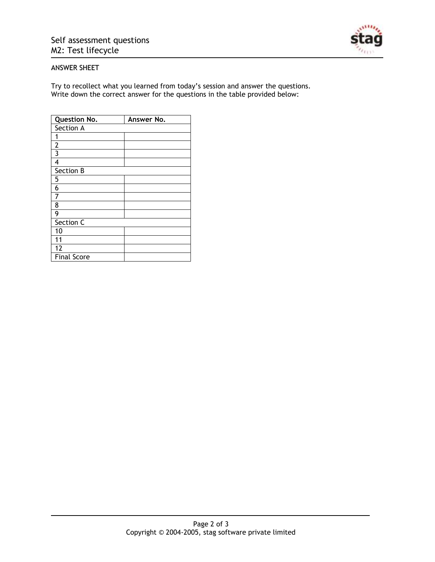

## ANSWER SHEET

Try to recollect what you learned from today's session and answer the questions. Write down the correct answer for the questions in the table provided below:

| <b>Question No.</b> | Answer No. |  |  |
|---------------------|------------|--|--|
| Section A           |            |  |  |
| 1                   |            |  |  |
| $\overline{2}$      |            |  |  |
| 3                   |            |  |  |
| 4                   |            |  |  |
| Section B           |            |  |  |
| 5                   |            |  |  |
| 6                   |            |  |  |
| 7                   |            |  |  |
| 8                   |            |  |  |
| 9                   |            |  |  |
| Section C           |            |  |  |
| 10                  |            |  |  |
| 11                  |            |  |  |
| 12                  |            |  |  |
| <b>Final Score</b>  |            |  |  |